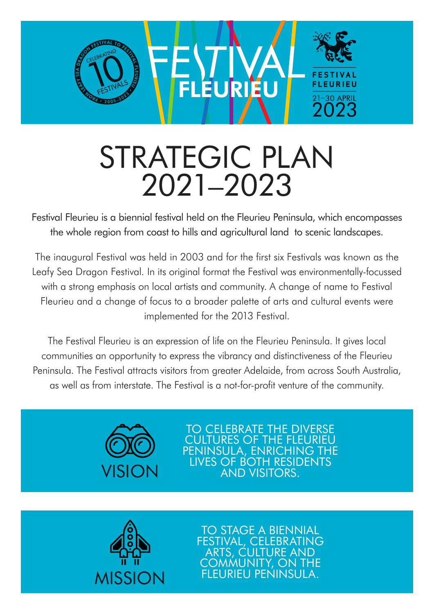

# STRATEGIC PLAN 2021–2023

Festival Fleurieu is a biennial festival held on the Fleurieu Peninsula, which encompasses the whole region from coast to hills and agricultural land to scenic landscapes.

The inaugural Festival was held in 2003 and for the first six Festivals was known as the Leafy Sea Dragon Festival. In its original format the Festival was environmentally-focussed with a strong emphasis on local artists and community. A change of name to Festival Fleurieu and a change of focus to a broader palette of arts and cultural events were implemented for the 2013 Festival.

The Festival Fleurieu is an expression of life on the Fleurieu Peninsula. It gives local communities an opportunity to express the vibrancy and distinctiveness of the Fleurieu Peninsula. The Festival attracts visitors from greater Adelaide, from across South Australia, as well as from interstate. The Festival is a not-for-profit venture of the community.



TO CELEBRATE THE DIVERSE CULTURES OF THE FLEURIEU PENINSULA, ENRICHING THE LIVES OF BOTH RESIDENTS AND VISITORS.



TO STAGE A BIENNIAL **IVAL, CELEBRATING** ARTS, CULTURE AND COMMUNITY, ON THE FLEURIEU PENINSULA.